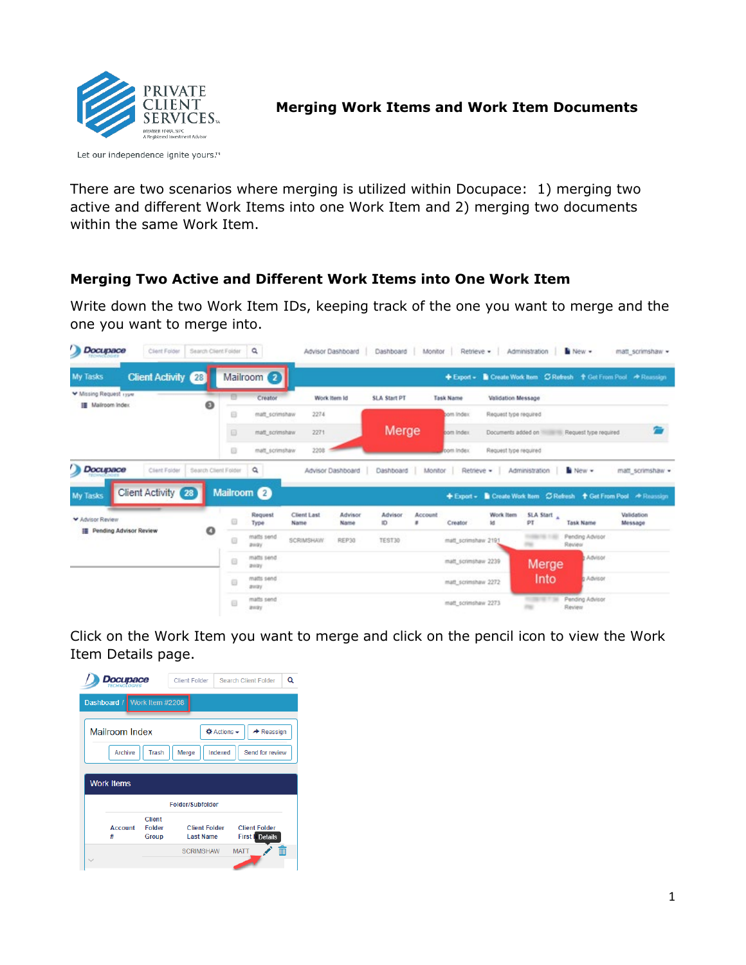

Let our independence ignite yours.™

There are two scenarios where merging is utilized within Docupace: 1) merging two active and different Work Items into one Work Item and 2) merging two documents within the same Work Item.

## **Merging Two Active and Different Work Items into One Work Item**

Write down the two Work Item IDs, keeping track of the one you want to merge and the one you want to merge into.

| Docupace                                        | Client Folder             | Search Client Folder |   | $\alpha$                   |                   | Advisor Dashboard | Dashboard Monitor   |              | Retrieve .                     |                       | Administration   New -  |                                                                  | matt scrimshaw - |
|-------------------------------------------------|---------------------------|----------------------|---|----------------------------|-------------------|-------------------|---------------------|--------------|--------------------------------|-----------------------|-------------------------|------------------------------------------------------------------|------------------|
| My Tasks                                        | <b>Client Activity 28</b> |                      |   | Mailroom 2                 |                   |                   |                     |              |                                |                       |                         | + Export - Create Work Item C Refresh + Get From Pool + Reassign |                  |
| W Missing Request 1704<br>III Malroom Index     |                           | ၜ                    | Ð | Creator                    |                   | Work Item Id      | <b>SLA Start PT</b> |              | Task Name                      | Validation Message    |                         |                                                                  |                  |
|                                                 |                           |                      | 6 | matt scrimshaw             | 2274              |                   |                     |              | bom Index                      | Request type required |                         |                                                                  |                  |
|                                                 |                           |                      | B | matt_scrimshaw             | 2271              |                   | Merge               |              | bom Index                      |                       |                         | Documents added on Thilliam Request type required.               |                  |
|                                                 |                           |                      | o | malt_scrimshaw             | 2208              |                   |                     |              | bom Index                      | Request type required |                         |                                                                  |                  |
|                                                 | Client Folder             | Search Client Folder |   | Q                          |                   | Advisor Dashboard | Dashboard           | Monitor      | Retrieve -                     |                       | Administration New -    |                                                                  | matt_scrimshaw = |
|                                                 | <b>Client Activity</b> 28 |                      | Θ | Mailroom @<br>Request      | Client Last       | Advisor           | <b>Advisor</b>      | Account<br>× |                                | Work Item             | SLA Start A             | + Export - Create Work from C Refresh + Get From Pool - Reassign | Validation       |
| <b>E</b> Pending Advisor Review                 |                           | ٥                    | G | Type<br>matts send<br>away | Name<br>SCRIMSHAW | Name<br>REP30     | ID.<br>TEST30       |              | Creator<br>matt_scrimshaw 2191 | 1d.                   | PT<br><b>CONTRACTOR</b> | <b>Task Name</b><br>Pending Advisor<br>Review                    | Message          |
|                                                 |                           |                      | e | matts send<br>away         |                   |                   |                     |              | matt_scrimshaw 2239            |                       | Merge                   | Advisor                                                          |                  |
| Docupace<br><b>My Tasks</b><br>V Advisor Review |                           |                      | 8 | matts send<br>away         |                   |                   |                     |              | matt_scrimshaw 2272            |                       | Into                    | <b>C</b> Advisor                                                 |                  |

Click on the Work Item you want to merge and click on the pencil icon to view the Work Item Details page.

| Docupace<br><b>TECHNOLOGIES</b> |                                                | Client Folder                            | Search Client Folder                            | Q |
|---------------------------------|------------------------------------------------|------------------------------------------|-------------------------------------------------|---|
| Dashboard / Work Item #2208     |                                                |                                          |                                                 |   |
| Mailroom Index                  |                                                |                                          | $\Phi$ Actions $\sim$<br>$\rightarrow$ Reassign |   |
| Archive                         | <b>Trash</b>                                   | Merge                                    | Indexed<br>Send for review                      |   |
| <b>Work Items</b>               |                                                |                                          |                                                 |   |
|                                 |                                                | Folder/Subfolder                         |                                                 |   |
| <b>Account</b><br>#             | <b>Client</b><br><b>Folder</b><br><b>Group</b> | <b>Client Folder</b><br><b>Last Name</b> | <b>Client Folder</b><br><b>First</b> Details    |   |
|                                 |                                                | <b>SCRIMSHAW</b>                         | <b>MATT</b>                                     | m |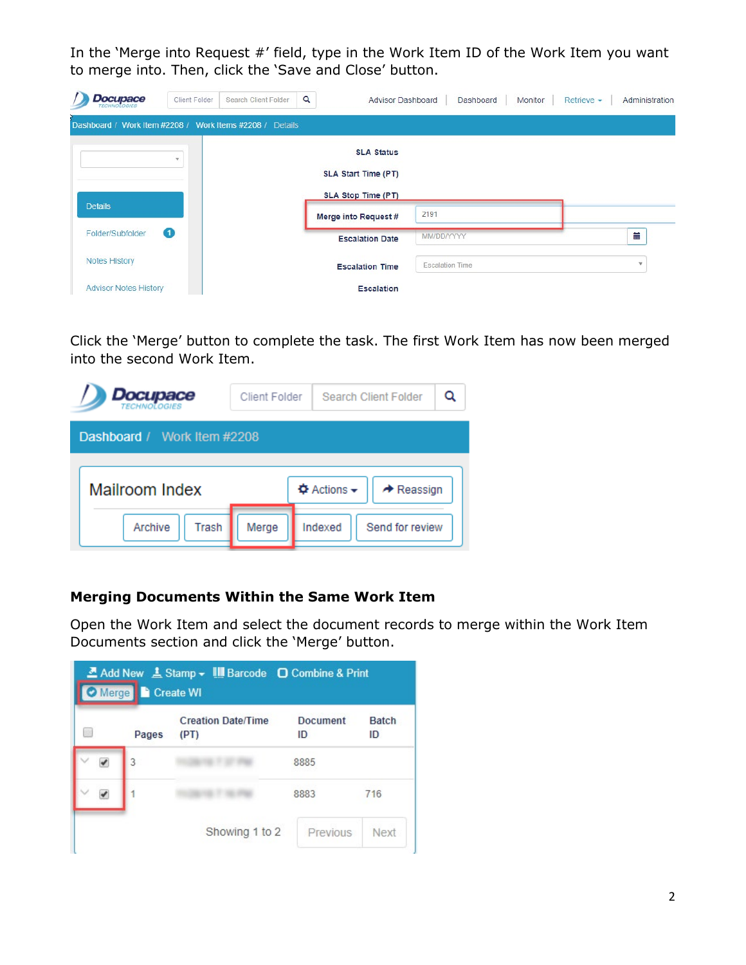In the 'Merge into Request #' field, type in the Work Item ID of the Work Item you want to merge into. Then, click the 'Save and Close' button.

| <b>Docupace</b>                                          | Client Folder    | Search Client Folder | $\alpha$ | Advisor Dashboard      |                        | Dashboard | Monitor | Retrieve - | Administration |
|----------------------------------------------------------|------------------|----------------------|----------|------------------------|------------------------|-----------|---------|------------|----------------|
| Dashboard / Work Item #2208 / Work Items #2208 / Details |                  |                      |          |                        |                        |           |         |            |                |
|                                                          | ÷                |                      |          | <b>SLA Status</b>      |                        |           |         |            |                |
|                                                          |                  |                      |          | SLA Start Time (PT)    |                        |           |         |            |                |
| <b>Details</b>                                           |                  |                      |          | SLA Stop Time (PT)     |                        |           |         |            |                |
|                                                          |                  |                      |          | Merge into Request #   | 2191                   |           |         |            |                |
| Folder/Subfolder                                         | $\mathbf \Omega$ |                      |          | <b>Escalation Date</b> | MM/DD/YYYY             |           |         |            | 臝              |
| <b>Notes History</b>                                     |                  |                      |          | <b>Escalation Time</b> | <b>Escalation Time</b> |           |         |            | $\mathbf{v}$   |
| <b>Advisor Notes History</b>                             |                  |                      |          | <b>Escalation</b>      |                        |           |         |            |                |

Click the 'Merge' button to complete the task. The first Work Item has now been merged into the second Work Item.

| Docupace<br><i>TECHNOLOGIES</i> | Client Folder | <b>Search Client Folder</b>                                             |  |
|---------------------------------|---------------|-------------------------------------------------------------------------|--|
| Dashboard / Work Item #2208     |               |                                                                         |  |
| <b>Mailroom Index</b>           |               | <b><math>\Phi</math></b> Actions <del>▼</del><br>$\rightarrow$ Reassign |  |
| Archive<br>Trash                | Merge         | Send for review<br>Indexed                                              |  |

## **Merging Documents Within the Same Work Item**

Open the Work Item and select the document records to merge within the Work Item Documents section and click the 'Merge' button.

| Pages | <b>Creation Date/Time</b><br>(PT) | <b>Document</b><br>ID | <b>Batch</b><br>ID |
|-------|-----------------------------------|-----------------------|--------------------|
| 3     |                                   | 8885                  |                    |
|       |                                   | 8883                  | 716                |